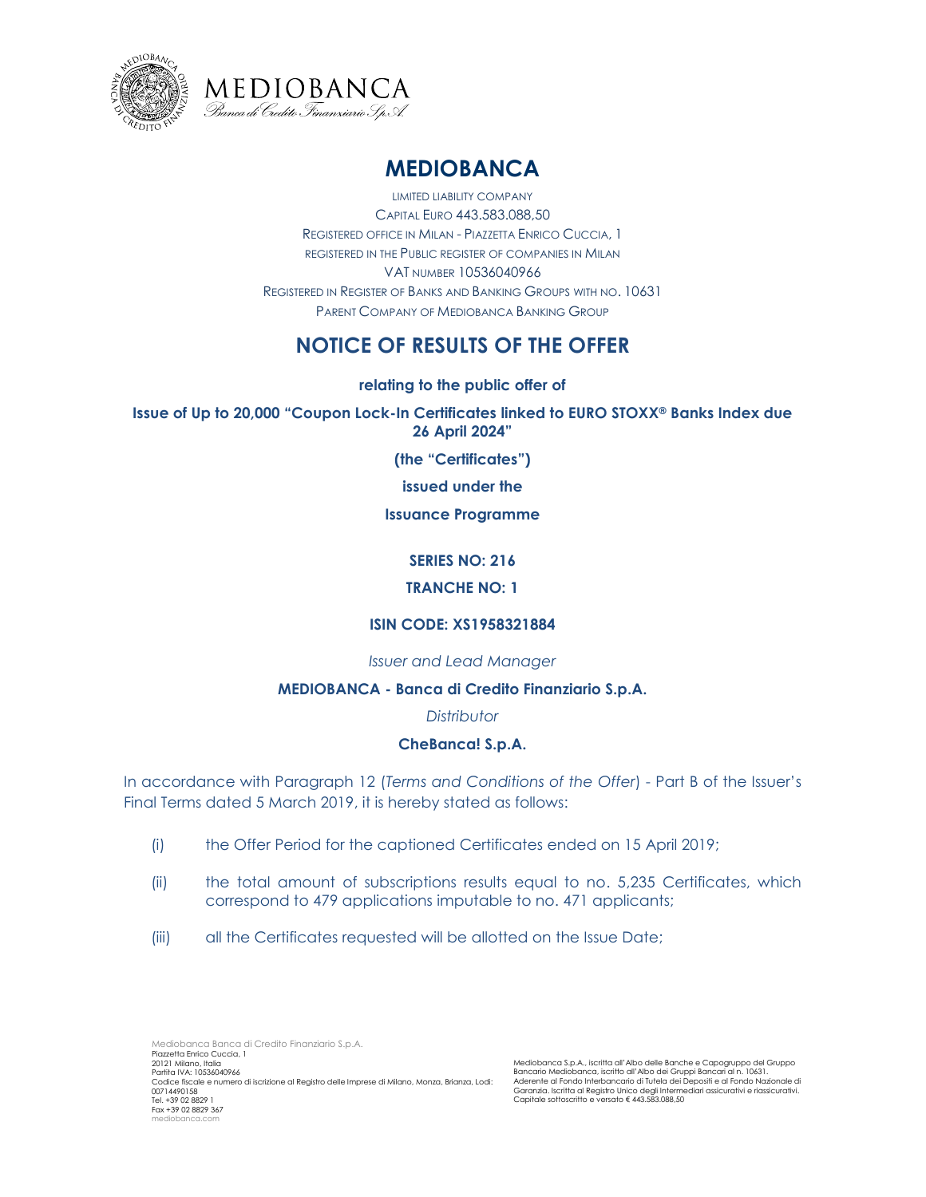



# **MEDIOBANCA**

LIMITED LIABILITY COMPANY CAPITAL EURO 443.583.088,50 REGISTERED OFFICE IN MILAN - PIAZZETTA ENRICO CUCCIA, 1 REGISTERED IN THE PUBLIC REGISTER OF COMPANIES IN MILAN VAT NUMBER 10536040966 REGISTERED IN REGISTER OF BANKS AND BANKING GROUPS WITH NO. 10631 PARENT COMPANY OF MEDIOBANCA BANKING GROUP

## **NOTICE OF RESULTS OF THE OFFER**

**relating to the public offer of**

**Issue of Up to 20,000 "Coupon Lock-In Certificates linked to EURO STOXX® Banks Index due 26 April 2024"**

**(the "Certificates")** 

**issued under the** 

#### **Issuance Programme**

### **SERIES NO: 216**

#### **TRANCHE NO: 1**

#### **ISIN CODE: XS1958321884**

#### *Issuer and Lead Manager*

#### **MEDIOBANCA - Banca di Credito Finanziario S.p.A.**

#### *Distributor*

#### **CheBanca! S.p.A.**

In accordance with Paragraph 12 (*Terms and Conditions of the Offer*) - Part B of the Issuer's Final Terms dated 5 March 2019, it is hereby stated as follows:

- (i) the Offer Period for the captioned Certificates ended on 15 April 2019;
- (ii) the total amount of subscriptions results equal to no. 5,235 Certificates, which correspond to 479 applications imputable to no. 471 applicants;
- (iii) all the Certificates requested will be allotted on the Issue Date;